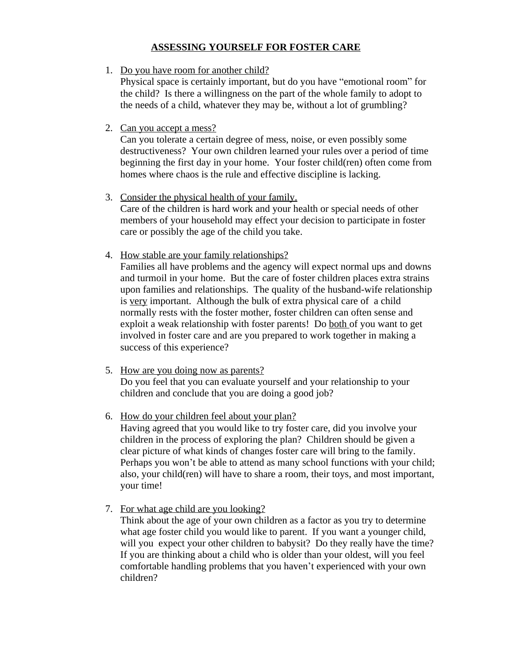## **ASSESSING YOURSELF FOR FOSTER CARE**

1. Do you have room for another child?

Physical space is certainly important, but do you have "emotional room" for the child? Is there a willingness on the part of the whole family to adopt to the needs of a child, whatever they may be, without a lot of grumbling?

2. Can you accept a mess?

Can you tolerate a certain degree of mess, noise, or even possibly some destructiveness? Your own children learned your rules over a period of time beginning the first day in your home. Your foster child(ren) often come from homes where chaos is the rule and effective discipline is lacking.

- 3. Consider the physical health of your family. Care of the children is hard work and your health or special needs of other members of your household may effect your decision to participate in foster care or possibly the age of the child you take.
- 4. How stable are your family relationships?

Families all have problems and the agency will expect normal ups and downs and turmoil in your home. But the care of foster children places extra strains upon families and relationships. The quality of the husband-wife relationship is very important. Although the bulk of extra physical care of a child normally rests with the foster mother, foster children can often sense and exploit a weak relationship with foster parents! Do both of you want to get involved in foster care and are you prepared to work together in making a success of this experience?

- 5. How are you doing now as parents? Do you feel that you can evaluate yourself and your relationship to your children and conclude that you are doing a good job?
- 6. How do your children feel about your plan?

Having agreed that you would like to try foster care, did you involve your children in the process of exploring the plan? Children should be given a clear picture of what kinds of changes foster care will bring to the family. Perhaps you won't be able to attend as many school functions with your child; also, your child(ren) will have to share a room, their toys, and most important, your time!

7. For what age child are you looking?

Think about the age of your own children as a factor as you try to determine what age foster child you would like to parent. If you want a younger child, will you expect your other children to babysit? Do they really have the time? If you are thinking about a child who is older than your oldest, will you feel comfortable handling problems that you haven't experienced with your own children?